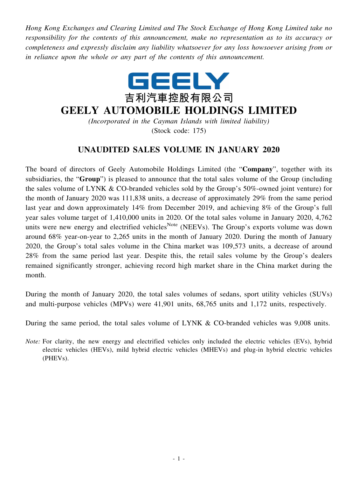*Hong Kong Exchanges and Clearing Limited and The Stock Exchange of Hong Kong Limited take no responsibility for the contents of this announcement, make no representation as to its accuracy or completeness and expressly disclaim any liability whatsoever for any loss howsoever arising from or in reliance upon the whole or any part of the contents of this announcement.*



## **GEELY AUTOMOBILE HOLDINGS LIMITED**

*(Incorporated in the Cayman Islands with limited liability)* (Stock code: 175)

## **UNAUDITED SALES VOLUME IN JANUARY 2020**

The board of directors of Geely Automobile Holdings Limited (the "**Company**", together with its subsidiaries, the "**Group**") is pleased to announce that the total sales volume of the Group (including the sales volume of LYNK & CO-branded vehicles sold by the Group's 50%-owned joint venture) for the month of January 2020 was 111,838 units, a decrease of approximately 29% from the same period last year and down approximately 14% from December 2019, and achieving 8% of the Group's full year sales volume target of 1,410,000 units in 2020. Of the total sales volume in January 2020, 4,762 units were new energy and electrified vehicles<sup>Note</sup> (NEEVs). The Group's exports volume was down around 68% year-on-year to 2,265 units in the month of January 2020. During the month of January 2020, the Group's total sales volume in the China market was 109,573 units, a decrease of around 28% from the same period last year. Despite this, the retail sales volume by the Group's dealers remained significantly stronger, achieving record high market share in the China market during the month.

During the month of January 2020, the total sales volumes of sedans, sport utility vehicles (SUVs) and multi-purpose vehicles (MPVs) were 41,901 units, 68,765 units and 1,172 units, respectively.

During the same period, the total sales volume of LYNK & CO-branded vehicles was 9,008 units.

*Note:* For clarity, the new energy and electrified vehicles only included the electric vehicles (EVs), hybrid electric vehicles (HEVs), mild hybrid electric vehicles (MHEVs) and plug-in hybrid electric vehicles (PHEVs).